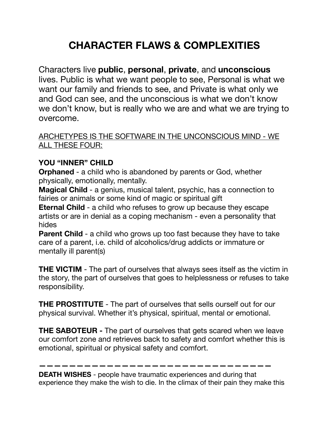## **CHARACTER FLAWS & COMPLEXITIES**

Characters live **public**, **personal**, **private**, and **unconscious**  lives. Public is what we want people to see, Personal is what we want our family and friends to see, and Private is what only we and God can see, and the unconscious is what we don't know we don't know, but is really who we are and what we are trying to overcome.

## ARCHETYPES IS THE SOFTWARE IN THE UNCONSCIOUS MIND - WE ALL THESE FOUR:

## **YOU "INNER" CHILD**

**Orphaned** - a child who is abandoned by parents or God, whether physically, emotionally, mentally.

**Magical Child** - a genius, musical talent, psychic, has a connection to fairies or animals or some kind of magic or spiritual gift

**Eternal Child** - a child who refuses to grow up because they escape artists or are in denial as a coping mechanism - even a personality that hides

**Parent Child** - a child who grows up too fast because they have to take care of a parent, i.e. child of alcoholics/drug addicts or immature or mentally ill parent(s)

**THE VICTIM** - The part of ourselves that always sees itself as the victim in the story, the part of ourselves that goes to helplessness or refuses to take responsibility.

**THE PROSTITUTE** - The part of ourselves that sells ourself out for our physical survival. Whether it's physical, spiritual, mental or emotional.

**THE SABOTEUR -** The part of ourselves that gets scared when we leave our comfort zone and retrieves back to safety and comfort whether this is emotional, spiritual or physical safety and comfort.

**DEATH WISHES** - people have traumatic experiences and during that experience they make the wish to die. In the climax of their pain they make this

**———————————————————————————————**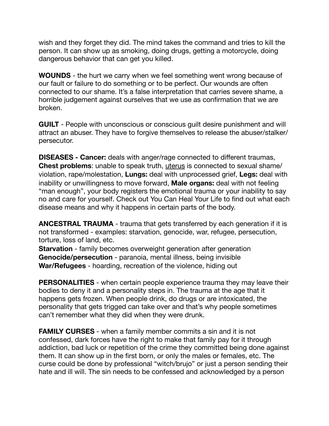wish and they forget they did. The mind takes the command and tries to kill the person. It can show up as smoking, doing drugs, getting a motorcycle, doing dangerous behavior that can get you killed.

**WOUNDS** - the hurt we carry when we feel something went wrong because of our fault or failure to do something or to be perfect. Our wounds are often connected to our shame. It's a false interpretation that carries severe shame, a horrible judgement against ourselves that we use as confirmation that we are broken.

**GUILT** - People with unconscious or conscious guilt desire punishment and will attract an abuser. They have to forgive themselves to release the abuser/stalker/ persecutor.

**DISEASES - Cancer:** deals with anger/rage connected to different traumas, **Chest problems**: unable to speak truth, uterus is connected to sexual shame/ violation, rape/molestation, **Lungs:** deal with unprocessed grief, **Legs:** deal with inability or unwillingness to move forward, **Male organs:** deal with not feeling "man enough", your body registers the emotional trauma or your inability to say no and care for yourself. Check out You Can Heal Your Life to find out what each disease means and why it happens in certain parts of the body.

**ANCESTRAL TRAUMA** - trauma that gets transferred by each generation if it is not transformed - examples: starvation, genocide, war, refugee, persecution, torture, loss of land, etc.

**Starvation** - family becomes overweight generation after generation **Genocide/persecution** - paranoia, mental illness, being invisible **War/Refugees** - hoarding, recreation of the violence, hiding out

**PERSONALITIES** - when certain people experience trauma they may leave their bodies to deny it and a personality steps in. The trauma at the age that it happens gets frozen. When people drink, do drugs or are intoxicated, the personality that gets trigged can take over and that's why people sometimes can't remember what they did when they were drunk.

**FAMILY CURSES** - when a family member commits a sin and it is not confessed, dark forces have the right to make that family pay for it through addiction, bad luck or repetition of the crime they committed being done against them. It can show up in the first born, or only the males or females, etc. The curse could be done by professional "witch/brujo" or just a person sending their hate and ill will. The sin needs to be confessed and acknowledged by a person